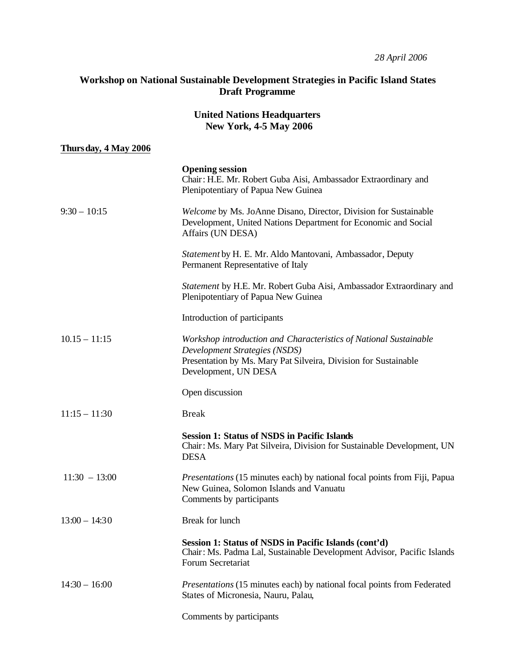*28 April 2006*

## **Workshop on National Sustainable Development Strategies in Pacific Island States Draft Programme**

## **United Nations Headquarters New York, 4-5 May 2006**

## **Thursday, 4 May 2006**

|                 | <b>Opening session</b><br>Chair: H.E. Mr. Robert Guba Aisi, Ambassador Extraordinary and<br>Plenipotentiary of Papua New Guinea                                                               |
|-----------------|-----------------------------------------------------------------------------------------------------------------------------------------------------------------------------------------------|
| $9:30 - 10:15$  | Welcome by Ms. JoAnne Disano, Director, Division for Sustainable<br>Development, United Nations Department for Economic and Social<br>Affairs (UN DESA)                                       |
|                 | Statement by H. E. Mr. Aldo Mantovani, Ambassador, Deputy<br>Permanent Representative of Italy                                                                                                |
|                 | Statement by H.E. Mr. Robert Guba Aisi, Ambassador Extraordinary and<br>Plenipotentiary of Papua New Guinea                                                                                   |
|                 | Introduction of participants                                                                                                                                                                  |
| $10.15 - 11:15$ | Workshop introduction and Characteristics of National Sustainable<br>Development Strategies (NSDS)<br>Presentation by Ms. Mary Pat Silveira, Division for Sustainable<br>Development, UN DESA |
|                 | Open discussion                                                                                                                                                                               |
| $11:15 - 11:30$ | <b>Break</b>                                                                                                                                                                                  |
|                 | <b>Session 1: Status of NSDS in Pacific Islands</b><br>Chair: Ms. Mary Pat Silveira, Division for Sustainable Development, UN<br><b>DESA</b>                                                  |
| $11:30 - 13:00$ | <i>Presentations</i> (15 minutes each) by national focal points from Fiji, Papua<br>New Guinea, Solomon Islands and Vanuatu<br>Comments by participants                                       |
| $13:00 - 14:30$ | Break for lunch                                                                                                                                                                               |
|                 | Session 1: Status of NSDS in Pacific Islands (cont'd)<br>Chair: Ms. Padma Lal, Sustainable Development Advisor, Pacific Islands<br>Forum Secretariat                                          |
| $14:30 - 16:00$ | Presentations (15 minutes each) by national focal points from Federated<br>States of Micronesia, Nauru, Palau,                                                                                |
|                 | Comments by participants                                                                                                                                                                      |